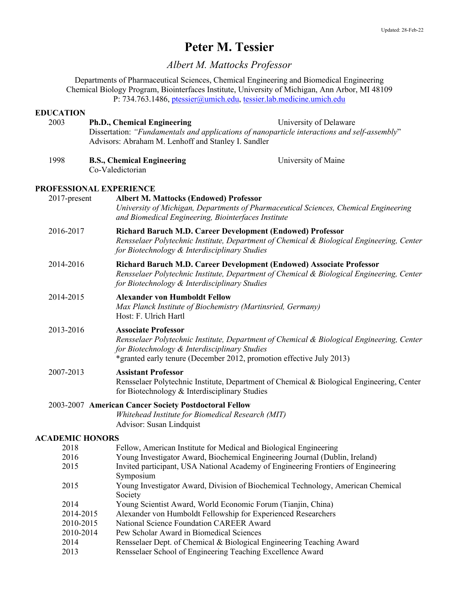# **Peter M. Tessier**

*Albert M. Mattocks Professor*

Departments of Pharmaceutical Sciences, Chemical Engineering and Biomedical Engineering Chemical Biology Program, Biointerfaces Institute, University of Michigan, Ann Arbor, MI 48109 P: 734.763.1486, ptessier@umich.edu, tessier.lab.medicine.umich.edu

|           | <b>EDUCATION</b> |                                                                                                                                                                                                                                                  |                                                                                                                                                                   |  |  |
|-----------|------------------|--------------------------------------------------------------------------------------------------------------------------------------------------------------------------------------------------------------------------------------------------|-------------------------------------------------------------------------------------------------------------------------------------------------------------------|--|--|
|           | 2003             | Ph.D., Chemical Engineering<br>University of Delaware<br>Dissertation: "Fundamentals and applications of nanoparticle interactions and self-assembly"<br>Advisors: Abraham M. Lenhoff and Stanley I. Sandler                                     |                                                                                                                                                                   |  |  |
|           | 1998             | <b>B.S., Chemical Engineering</b><br>University of Maine<br>Co-Valedictorian                                                                                                                                                                     |                                                                                                                                                                   |  |  |
|           |                  | PROFESSIONAL EXPERIENCE                                                                                                                                                                                                                          |                                                                                                                                                                   |  |  |
|           | 2017-present     | <b>Albert M. Mattocks (Endowed) Professor</b><br>University of Michigan, Departments of Pharmaceutical Sciences, Chemical Engineering<br>and Biomedical Engineering, Biointerfaces Institute                                                     |                                                                                                                                                                   |  |  |
| 2016-2017 |                  | <b>Richard Baruch M.D. Career Development (Endowed) Professor</b><br>for Biotechnology & Interdisciplinary Studies                                                                                                                               | Rensselaer Polytechnic Institute, Department of Chemical & Biological Engineering, Center                                                                         |  |  |
| 2014-2016 |                  | for Biotechnology & Interdisciplinary Studies                                                                                                                                                                                                    | Richard Baruch M.D. Career Development (Endowed) Associate Professor<br>Rensselaer Polytechnic Institute, Department of Chemical & Biological Engineering, Center |  |  |
|           | 2014-2015        | <b>Alexander von Humboldt Fellow</b><br>Max Planck Institute of Biochemistry (Martinsried, Germany)<br>Host: F. Ulrich Hartl                                                                                                                     |                                                                                                                                                                   |  |  |
|           | 2013-2016        | <b>Associate Professor</b><br>Rensselaer Polytechnic Institute, Department of Chemical & Biological Engineering, Center<br>for Biotechnology & Interdisciplinary Studies<br>*granted early tenure (December 2012, promotion effective July 2013) |                                                                                                                                                                   |  |  |
|           | 2007-2013        | <b>Assistant Professor</b><br>Rensselaer Polytechnic Institute, Department of Chemical & Biological Engineering, Center<br>for Biotechnology & Interdisciplinary Studies                                                                         |                                                                                                                                                                   |  |  |
|           |                  | 2003-2007 American Cancer Society Postdoctoral Fellow                                                                                                                                                                                            |                                                                                                                                                                   |  |  |
|           |                  | Whitehead Institute for Biomedical Research (MIT)                                                                                                                                                                                                |                                                                                                                                                                   |  |  |
|           |                  | Advisor: Susan Lindquist                                                                                                                                                                                                                         |                                                                                                                                                                   |  |  |
|           |                  | <b>ACADEMIC HONORS</b>                                                                                                                                                                                                                           |                                                                                                                                                                   |  |  |
|           | 2018             | Fellow, American Institute for Medical and Biological Engineering                                                                                                                                                                                |                                                                                                                                                                   |  |  |
|           | 2016             | Young Investigator Award, Biochemical Engineering Journal (Dublin, Ireland)                                                                                                                                                                      |                                                                                                                                                                   |  |  |
|           | 2015             | Invited participant, USA National Academy of Engineering Frontiers of Engineering                                                                                                                                                                |                                                                                                                                                                   |  |  |
|           |                  | Symposium                                                                                                                                                                                                                                        |                                                                                                                                                                   |  |  |
|           | 2015             | Young Investigator Award, Division of Biochemical Technology, American Chemical<br>Society                                                                                                                                                       |                                                                                                                                                                   |  |  |
|           | 2014             | Young Scientist Award, World Economic Forum (Tianjin, China)                                                                                                                                                                                     |                                                                                                                                                                   |  |  |
|           | 2014-2015        | Alexander von Humboldt Fellowship for Experienced Researchers                                                                                                                                                                                    |                                                                                                                                                                   |  |  |
|           | 2010-2015        | National Science Foundation CAREER Award                                                                                                                                                                                                         |                                                                                                                                                                   |  |  |
|           | 2010-2014        | Pew Scholar Award in Biomedical Sciences                                                                                                                                                                                                         |                                                                                                                                                                   |  |  |
|           | 2014             | Rensselaer Dept. of Chemical & Biological Engineering Teaching Award                                                                                                                                                                             |                                                                                                                                                                   |  |  |
|           | 2013             | Rensselaer School of Engineering Teaching Excellence Award                                                                                                                                                                                       |                                                                                                                                                                   |  |  |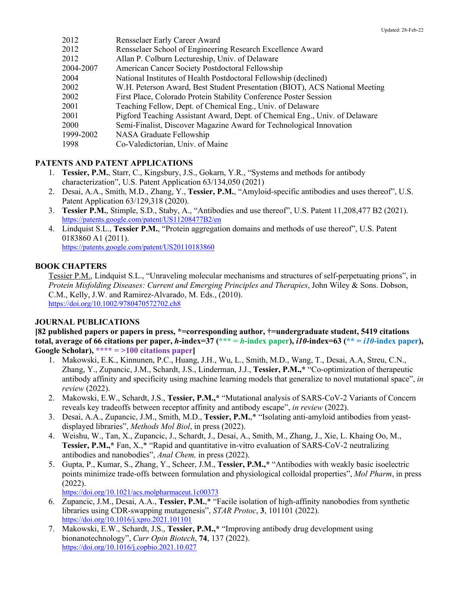| 2012      | Rensselaer Early Career Award                                               |
|-----------|-----------------------------------------------------------------------------|
| 2012      | Rensselaer School of Engineering Research Excellence Award                  |
| 2012      | Allan P. Colburn Lectureship, Univ. of Delaware                             |
| 2004-2007 | American Cancer Society Postdoctoral Fellowship                             |
| 2004      | National Institutes of Health Postdoctoral Fellowship (declined)            |
| 2002      | W.H. Peterson Award, Best Student Presentation (BIOT), ACS National Meeting |
| 2002      | First Place, Colorado Protein Stability Conference Poster Session           |
| 2001      | Teaching Fellow, Dept. of Chemical Eng., Univ. of Delaware                  |
| 2001      | Pigford Teaching Assistant Award, Dept. of Chemical Eng., Univ. of Delaware |
| 2000      | Semi-Finalist, Discover Magazine Award for Technological Innovation         |
| 1999-2002 | NASA Graduate Fellowship                                                    |
| 1998      | Co-Valedictorian, Univ. of Maine                                            |
|           |                                                                             |

## **PATENTS AND PATENT APPLICATIONS**

- 1. **Tessier, P.M.**, Starr, C., Kingsbury, J.S., Gokarn, Y.R., "Systems and methods for antibody characterization", U.S. Patent Application 63/134,050 (2021)
- 2. Desai, A.A., Smith, M.D., Zhang, Y., **Tessier, P.M.**, "Amyloid-specific antibodies and uses thereof", U.S. Patent Application 63/129,318 (2020).
- 3. **Tessier P.M.**, Stimple, S.D., Staby, A., "Antibodies and use thereof", U.S. Patent 11,208,477 B2 (2021). https://patents.google.com/patent/US11208477B2/en
- 4. Lindquist S.L., **Tessier P.M.**, "Protein aggregation domains and methods of use thereof", U.S. Patent 0183860 A1 (2011).

https://patents.google.com/patent/US20110183860

# **BOOK CHAPTERS**

Tessier P.M., Lindquist S.L., "Unraveling molecular mechanisms and structures of self-perpetuating prions", in *Protein Misfolding Diseases: Current and Emerging Principles and Therapies*, John Wiley & Sons. Dobson, C.M., Kelly, J.W. and Ramirez-Alvarado, M. Eds., (2010). https://doi.org/10.1002/9780470572702.ch8

# **JOURNAL PUBLICATIONS**

**[82 published papers or papers in press, \*=corresponding author, †=undergraduate student, 5419 citations total, average of 66 citations per paper,** *h***-index=37 (\*\*\* =** *h***-index paper),** *i10***-index=63 (\*\* =** *i10***-index paper), Google Scholar), \*\*\*\* = >100 citations paper]**

- 1. Makowski, E.K., Kinnunen, P.C., Huang, J.H., Wu, L., Smith, M.D., Wang, T., Desai, A.A, Streu, C.N., Zhang, Y., Zupancic, J.M., Schardt, J.S., Linderman, J.J., **Tessier, P.M.,\*** "Co-optimization of therapeutic antibody affinity and specificity using machine learning models that generalize to novel mutational space", *in review* (2022).
- 2. Makowski, E.W., Schardt, J.S., **Tessier, P.M.,\*** "Mutational analysis of SARS-CoV-2 Variants of Concern reveals key tradeoffs between receptor affinity and antibody escape", *in review* (2022).
- 3. Desai, A.A., Zupancic, J.M., Smith, M.D., **Tessier, P.M.**,\* "Isolating anti-amyloid antibodies from yeastdisplayed libraries", *Methods Mol Biol*, in press (2022).
- 4. Weishu, W., Tan, X., Zupancic, J., Schardt, J., Desai, A., Smith, M., Zhang, J., Xie, L. Khaing Oo, M., **Tessier, P.M.,\*** Fan, X.,\* "Rapid and quantitative in-vitro evaluation of SARS-CoV-2 neutralizing antibodies and nanobodies", *Anal Chem,* in press (2022).
- 5. Gupta, P., Kumar, S., Zhang, Y., Scheer, J.M., **Tessier, P.M.,\*** "Antibodies with weakly basic isoelectric points minimize trade-offs between formulation and physiological colloidal properties", *Mol Pharm*, in press (2022).

https://doi.org/10.1021/acs.molpharmaceut.1c00373

- 6. Zupancic, J.M., Desai, A.A., **Tessier, P.M.**,\* "Facile isolation of high-affinity nanobodies from synthetic libraries using CDR-swapping mutagenesis", *STAR Protoc*, **3**, 101101 (2022). https://doi.org/10.1016/j.xpro.2021.101101
- 7. Makowski, E.W., Schardt, J.S., **Tessier, P.M.,\*** "Improving antibody drug development using bionanotechnology", *Curr Opin Biotech*, **74**, 137 (2022). https://doi.org/10.1016/j.copbio.2021.10.027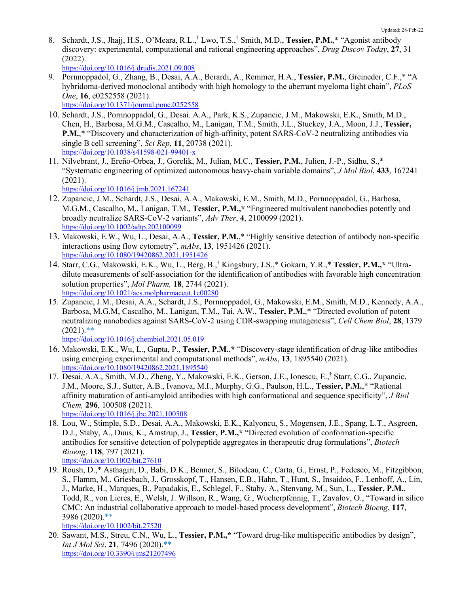8. Schardt, J.S., Jhajj, H.S., O'Meara, R.L.,**†** Lwo, T.S.,**†** Smith, M.D., **Tessier, P.M.**,\* "Agonist antibody discovery: experimental, computational and rational engineering approaches", *Drug Discov Today*, **27**, 31 (2022).

https://doi.org/10.1016/j.drudis.2021.09.008

- 9. Pornnoppadol, G., Zhang, B., Desai, A.A., Berardi, A., Remmer, H.A., **Tessier, P.M.**, Greineder, C.F.,\* "A hybridoma-derived monoclonal antibody with high homology to the aberrant myeloma light chain", *PLoS One*, **16**, e0252558 (2021). https://doi.org/10.1371/journal.pone.0252558
- 10. Schardt, J.S., Pornnoppadol, G., Desai. A.A., Park, K.S., Zupancic, J.M., Makowski, E.K., Smith, M.D., Chen, H., Barbosa, M.G.M., Cascalho, M., Lanigan, T.M., Smith, J.L., Stuckey, J.A., Moon, J.J., **Tessier, P.M.**,\* "Discovery and characterization of high-affinity, potent SARS-CoV-2 neutralizing antibodies via single B cell screening", *Sci Rep*, **11**, 20738 (2021). https://doi.org/10.1038/s41598-021-99401-x
- 11. Nilvebrant, J., Ereño-Orbea, J., Gorelik, M., Julian, M.C., **Tessier, P.M.**, Julien, J.-P., Sidhu, S.,\* "Systematic engineering of optimized autonomous heavy-chain variable domains", *J Mol Biol*, **433**, 167241 (2021).

https://doi.org/10.1016/j.jmb.2021.167241

- 12. Zupancic, J.M., Schardt, J.S., Desai, A.A., Makowski, E.M., Smith, M.D., Pornnoppadol, G., Barbosa, M.G.M., Cascalho, M., Lanigan, T.M., **Tessier, P.M.,\*** "Engineered multivalent nanobodies potently and broadly neutralize SARS-CoV-2 variants", *Adv Ther*, **4**, 2100099 (2021). https://doi.org/10.1002/adtp.202100099
- 13. Makowski, E.W., Wu, L., Desai, A.A., **Tessier, P.M.**,\* "Highly sensitive detection of antibody non-specific interactions using flow cytometry", *mAbs*, **13**, 1951426 (2021). https://doi.org/10.1080/19420862.2021.1951426
- 14. Starr, C.G., Makowski, E.K., Wu, L., Berg, B.,**†** Kingsbury, J.S.,\* Gokarn, Y.R.,\* **Tessier, P.M.,\*** "Ultradilute measurements of self-association for the identification of antibodies with favorable high concentration solution properties", *Mol Pharm,* **18**, 2744 (2021). https://doi.org/10.1021/acs.molpharmaceut.1c00280
- 15. Zupancic, J.M., Desai, A.A., Schardt, J.S., Pornnoppadol, G., Makowski, E.M., Smith, M.D., Kennedy, A.A., Barbosa, M.G.M, Cascalho, M., Lanigan, T.M., Tai, A.W., **Tessier, P.M.**,\* "Directed evolution of potent neutralizing nanobodies against SARS-CoV-2 using CDR-swapping mutagenesis", *Cell Chem Biol*, **28**, 1379  $(2021)$ .\*\*

https://doi.org/10.1016/j.chembiol.2021.05.019

- 16. Makowski, E.K., Wu, L., Gupta, P., **Tessier, P.M.**,**\*** "Discovery-stage identification of drug-like antibodies using emerging experimental and computational methods", *mAbs*, **13**, 1895540 (2021). https://doi.org/10.1080/19420862.2021.1895540
- 17. Desai, A.A., Smith, M.D., Zheng, Y., Makowski, E.K., Gerson, J.E., Ionescu, E.,† Starr, C.G., Zupancic, J.M., Moore, S.J., Sutter, A.B., Ivanova, M.I., Murphy, G.G., Paulson, H.L., **Tessier, P.M.**,\* "Rational affinity maturation of anti-amyloid antibodies with high conformational and sequence specificity", *J Biol Chem,* **296**, 100508 (2021). https://doi.org/10.1016/j.jbc.2021.100508
- 18. Lou, W., Stimple, S.D., Desai, A.A., Makowski, E.K., Kalyoncu, S., Mogensen, J.E., Spang, L.T., Asgreen, D.J., Staby, A., Duus, K., Amstrup, J., **Tessier, P.M.,\*** "Directed evolution of conformation-specific antibodies for sensitive detection of polypeptide aggregates in therapeutic drug formulations", *Biotech Bioeng*, **118**, 797 (2021). https://doi.org/10.1002/bit.27610
- 19. Roush, D.,\* Asthagiri, D., Babi, D.K., Benner, S., Bilodeau, C., Carta, G., Ernst, P., Fedesco, M., Fitzgibbon, S., Flamm, M., Griesbach, J., Grosskopf, T., Hansen, E.B., Hahn, T., Hunt, S., Insaidoo, F., Lenhoff, A., Lin, J., Marke, H., Marques, B., Papadakis, E., Schlegel, F., Staby, A., Stenvang, M., Sun, L., **Tessier, P.M.**, Todd, R., von Lieres, E., Welsh, J. Willson, R., Wang, G., Wucherpfennig, T., Zavalov, O., "Toward in silico CMC: An industrial collaborative approach to model‐based process development", *Biotech Bioeng*, **117**, 3986 (2020).\*\*

https://doi.org/10.1002/bit.27520

20. Sawant, M.S., Streu, C.N., Wu, L., **Tessier, P.M.,\*** "Toward drug-like multispecific antibodies by design", *Int J Mol Sci*, **21**, 7496 (2020).\*\* https://doi.org/10.3390/ijms21207496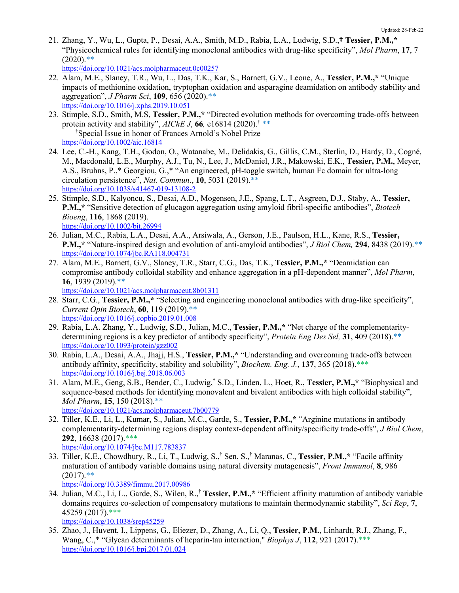21. Zhang, Y., Wu, L., Gupta, P., Desai, A.A., Smith, M.D., Rabia, L.A., Ludwig, S.D.,**† Tessier, P.M.,\*** "Physicochemical rules for identifying monoclonal antibodies with drug-like specificity", *Mol Pharm*, **17**, 7  $(2020)$ .\*\*

https://doi.org/10.1021/acs.molpharmaceut.0c00257

- 22. Alam, M.E., Slaney, T.R., Wu, L., Das, T.K., Kar, S., Barnett, G.V., Leone, A., **Tessier, P.M.,\*** "Unique impacts of methionine oxidation, tryptophan oxidation and asparagine deamidation on antibody stability and aggregation", *J Pharm Sci*, **109**, 656 (2020).\*\* https://doi.org/10.1016/j.xphs.2019.10.051
- 23. Stimple, S.D., Smith, M.S, **Tessier, P.M.,\*** "Directed evolution methods for overcoming trade-offs between protein activity and stability",  $AIChE J$ , **66***,* e16814 (2020).<sup>†</sup> \*\* † Special Issue in honor of Frances Arnold's Nobel Prize https://doi.org/10.1002/aic.16814
- 24. Lee, C.-H., Kang, T.H., Godon, O., Watanabe, M., Delidakis, G., Gillis, C.M., Sterlin, D., Hardy, D., Cogné, M., Macdonald, L.E., Murphy, A.J., Tu, N., Lee, J., McDaniel, J.R., Makowski, E.K., **Tessier, P.M.**, Meyer, A.S., Bruhns, P.,\* Georgiou, G.,\* "An engineered, pH-toggle switch, human Fc domain for ultra-long circulation persistence", *Nat. Commun*., **10**, 5031 (2019).\*\* https://doi.org/10.1038/s41467-019-13108-2
- 25. Stimple, S.D., Kalyoncu, S., Desai, A.D., Mogensen, J.E., Spang, L.T., Asgreen, D.J., Staby, A., **Tessier, P.M.,\*** "Sensitive detection of glucagon aggregation using amyloid fibril-specific antibodies", *Biotech Bioeng*, **116**, 1868 (2019). https://doi.org/10.1002/bit.26994
- 26. Julian, M.C., Rabia, L.A., Desai, A.A., Arsiwala, A., Gerson, J.E., Paulson, H.L., Kane, R.S., **Tessier, P.M.,\*** "Nature-inspired design and evolution of anti-amyloid antibodies", *J Biol Chem,* **294**, 8438 (2019).\*\* https://doi.org/10.1074/jbc.RA118.004731
- 27. Alam, M.E., Barnett, G.V., Slaney, T.R., Starr, C.G., Das, T.K., **Tessier, P.M.,\*** "Deamidation can compromise antibody colloidal stability and enhance aggregation in a pH-dependent manner", *Mol Pharm*, **16**, 1939 (2019).\*\*

https://doi.org/10.1021/acs.molpharmaceut.8b01311

- 28. Starr, C.G., **Tessier, P.M.,\*** "Selecting and engineering monoclonal antibodies with drug-like specificity", *Current Opin Biotech*, **60**, 119 (2019).\*\* https://doi.org/10.1016/j.copbio.2019.01.008
- 29. Rabia, L.A. Zhang, Y., Ludwig, S.D., Julian, M.C., **Tessier, P.M.,\*** "Net charge of the complementaritydetermining regions is a key predictor of antibody specificity", *Protein Eng Des Sel,* **31**, 409 (2018).\*\* https://doi.org/10.1093/protein/gzz002
- 30. Rabia, L.A., Desai, A.A., Jhajj, H.S., **Tessier, P.M.,\*** "Understanding and overcoming trade-offs between antibody affinity, specificity, stability and solubility", *Biochem. Eng. J.*, **137**, 365 (2018).\*\*\* https://doi.org/10.1016/j.bej.2018.06.003
- 31. Alam, M.E., Geng, S.B., Bender, C., Ludwig,**†** S.D., Linden, L., Hoet, R., **Tessier, P.M.,\*** "Biophysical and sequence-based methods for identifying monovalent and bivalent antibodies with high colloidal stability", *Mol Pharm*, **15**, 150 (2018).\*\* https://doi.org/10.1021/acs.molpharmaceut.7b00779
- 32. Tiller, K.E., Li, L., Kumar, S., Julian, M.C., Garde, S., **Tessier, P.M.,\*** "Arginine mutations in antibody complementarity-determining regions display context-dependent affinity/specificity trade-offs", *J Biol Chem*, **292**, 16638 (2017).\*\*\* https://doi.org/10.1074/jbc.M117.783837
- 33. Tiller, K.E., Chowdhury, R., Li, T., Ludwig, S.,**†** Sen, S.,**†** Maranas, C., **Tessier, P.M.,\*** "Facile affinity maturation of antibody variable domains using natural diversity mutagenesis", *Front Immunol*, **8**, 986  $(2017).$ \*\*

https://doi.org/10.3389/fimmu.2017.00986

34. Julian, M.C., Li, L., Garde, S., Wilen, R.,† **Tessier, P.M.,\*** "Efficient affinity maturation of antibody variable domains requires co-selection of compensatory mutations to maintain thermodynamic stability", *Sci Rep*, **7**, 45259 (2017).\*\*\*

```
https://doi.org/10.1038/srep45259
```
35. Zhao, J., Huvent, I., Lippens, G., Eliezer, D., Zhang, A., Li, Q., **Tessier, P.M.**, Linhardt, R.J., Zhang, F., Wang, C.,\* "Glycan determinants of heparin-tau interaction," *Biophys J*, **112**, 921 (2017).\*\*\* https://doi.org/10.1016/j.bpj.2017.01.024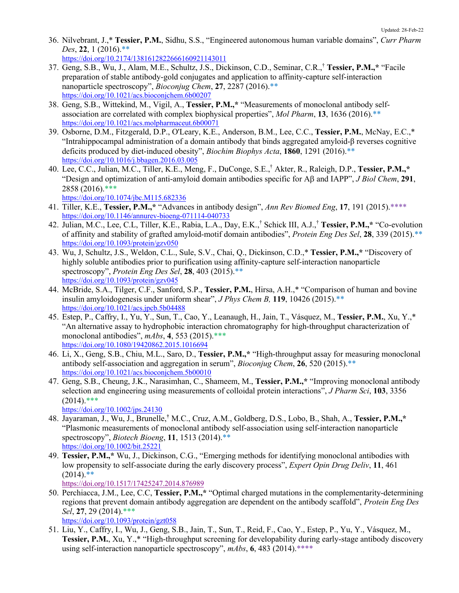36. Nilvebrant, J.,\* **Tessier, P.M.**, Sidhu, S.S., "Engineered autonomous human variable domains", *Curr Pharm Des*, **22**, 1 (2016).\*\*

https://doi.org/10.2174/1381612822666160921143011

- 37. Geng, S.B., Wu, J., Alam, M.E., Schultz, J.S., Dickinson, C.D., Seminar, C.R.,† **Tessier, P.M.,\*** "Facile preparation of stable antibody-gold conjugates and application to affinity-capture self-interaction nanoparticle spectroscopy", *Bioconjug Chem*, **27**, 2287 (2016).\*\* https://doi.org/10.1021/acs.bioconjchem.6b00207
- 38. Geng, S.B., Wittekind, M., Vigil, A., **Tessier, P.M.,\*** "Measurements of monoclonal antibody selfassociation are correlated with complex biophysical properties", *Mol Pharm*, **13**, 1636 (2016).\*\* https://doi.org/10.1021/acs.molpharmaceut.6b00071
- 39. Osborne, D.M., Fitzgerald, D.P., O'Leary, K.E., Anderson, B.M., Lee, C.C., **Tessier, P.M.**, McNay, E.C.,\* "Intrahippocampal administration of a domain antibody that binds aggregated amyloid-β reverses cognitive deficits produced by diet-induced obesity", *Biochim Biophys Acta*, **1860**, 1291 (2016).\*\* https://doi.org/10.1016/j.bbagen.2016.03.005
- 40. Lee, C.C., Julian, M.C., Tiller, K.E., Meng, F., DuConge, S.E.,† Akter, R., Raleigh, D.P., **Tessier, P.M.,\*** "Design and optimization of anti-amyloid domain antibodies specific for  $\text{AB}$  and  $\text{IAPP}$ ", *J Biol Chem*, 291, 2858 (2016).\*\*\*

https://doi.org/10.1074/jbc.M115.682336

- 41. Tiller, K.E., **Tessier, P.M.,\*** "Advances in antibody design", *Ann Rev Biomed Eng*, **17**, 191 (2015).\*\*\*\* https://doi.org/10.1146/annurev-bioeng-071114-040733
- 42. Julian, M.C., Lee, C.L, Tiller, K.E., Rabia, L.A., Day, E.K., † Schick III, A.J.,† **Tessier, P.M.,\*** "Co-evolution of affinity and stability of grafted amyloid-motif domain antibodies", *Protein Eng Des Sel*, **28**, 339 (2015).\*\* https://doi.org/10.1093/protein/gzv050
- 43. Wu, J, Schultz, J.S., Weldon, C.L., Sule, S.V., Chai, Q., Dickinson, C.D.,\* **Tessier, P.M.,\*** "Discovery of highly soluble antibodies prior to purification using affinity-capture self-interaction nanoparticle spectroscopy", *Protein Eng Des Sel*, **28**, 403 (2015).\*\* https://doi.org/10.1093/protein/gzv045
- 44. McBride, S.A., Tilger, C.F., Sanford, S.P., **Tessier, P.M.**, Hirsa, A.H.,\* "Comparison of human and bovine insulin amyloidogenesis under uniform shear", *J Phys Chem B,* **119**, 10426 (2015).\*\* https://doi.org/10.1021/acs.jpcb.5b04488
- 45. Estep, P., Caffry, I., Yu, Y., Sun, T., Cao, Y., Leanaugh, H., Jain, T., Vásquez, M., **Tessier, P.M.**, Xu, Y.,\* "An alternative assay to hydrophobic interaction chromatography for high-throughput characterization of monoclonal antibodies", *mAbs*, **4**, 553 (2015).\*\*\* https://doi.org/10.1080/19420862.2015.1016694
- 46. Li, X., Geng, S.B., Chiu, M.L., Saro, D., **Tessier, P.M.,\*** "High-throughput assay for measuring monoclonal antibody self-association and aggregation in serum", *Bioconjug Chem*, **26**, 520 (2015).\*\* https://doi.org/10.1021/acs.bioconjchem.5b00010
- 47. Geng, S.B., Cheung, J.K., Narasimhan, C., Shameem, M., **Tessier, P.M.,\*** "Improving monoclonal antibody selection and engineering using measurements of colloidal protein interactions", *J Pharm Sci*, **103**, 3356  $(2014)$ .\*\*\*

https://doi.org/10.1002/jps.24130

- 48. Jayaraman, J., Wu, J., Brunelle,**†** M.C., Cruz, A.M., Goldberg, D.S., Lobo, B., Shah, A., **Tessier, P.M.,\*** "Plasmonic measurements of monoclonal antibody self-association using self-interaction nanoparticle spectroscopy", *Biotech Bioeng*, **11**, 1513 (2014).\*\* https://doi.org/10.1002/bit.25221
- 49. **Tessier, P.M.,\*** Wu, J., Dickinson, C.G., "Emerging methods for identifying monoclonal antibodies with low propensity to self-associate during the early discovery process", *Expert Opin Drug Deliv*, **11**, 461  $(2014)$ .\*\*

https://doi.org/10.1517/17425247.2014.876989

50. Perchiacca, J.M., Lee, C.C, **Tessier, P.M.,\*** "Optimal charged mutations in the complementarity-determining regions that prevent domain antibody aggregation are dependent on the antibody scaffold", *Protein Eng Des Sel*, **27**, 29 (2014).\*\*\*

https://doi.org/10.1093/protein/gzt058

51. Liu, Y., Caffry, I., Wu, J., Geng, S.B., Jain, T., Sun, T., Reid, F., Cao, Y., Estep, P., Yu, Y., Vásquez, M., **Tessier, P.M.**, Xu, Y.,\* "High-throughput screening for developability during early-stage antibody discovery using self-interaction nanoparticle spectroscopy", *mAbs*, **6**, 483 (2014).\*\*\*\*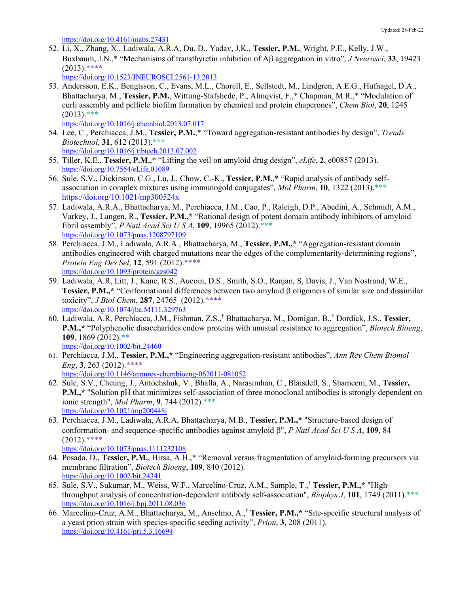https://doi.org/10.4161/mabs.27431

52. Li, X., Zhang, X., Ladiwala, A.R.A, Du, D., Yadav, J.K., **Tessier, P.M.**, Wright, P.E., Kelly, J.W., Buxbaum, J.N.,\* "Mechanisms of transthyretin inhibition of Ab aggregation in vitro", *J Neurosci*, **33**, 19423  $(2013)$ .\*\*\*\*

https://doi.org/10.1523/JNEUROSCI.2561-13.2013

53. Andersson, E.K., Bengtsson, C., Evans, M.L., Chorell, E., Sellstedt, M., Lindgren, A.E.G., Hufnagel, D.A., Bhattacharya, M., **Tessier, P.M.**, Wittung-Stafshede, P., Almqvist, F.,\* Chapman, M.R.,\* "Modulation of curli assembly and pellicle biofilm formation by chemical and protein chaperones", *Chem Biol*, **20**, 1245  $(2013)$ .\*\*\*

https://doi.org/10.1016/j.chembiol.2013.07.017

- 54. Lee, C., Perchiacca, J.M., **Tessier, P.M.**,\* "Toward aggregation-resistant antibodies by design", *Trends Biotechnol*, **31**, 612 (2013).\*\*\* https://doi.org/10.1016/j.tibtech.2013.07.002
- 55. Tiller, K.E., **Tessier, P.M.**,\* "Lifting the veil on amyloid drug design", *eLife*, **2**, e00857 (2013). https://doi.org/10.7554/eLife.01089
- 56. Sule, S.V., Dickinson, C.G., Lu, J., Chow, C.-K., **Tessier, P.M.**,\* "Rapid analysis of antibody selfassociation in complex mixtures using immunogold conjugates", *Mol Pharm*, **10**, 1322 (2013).\*\*\* https://doi.org/10.1021/mp300524x
- 57. Ladiwala, A.R.A., Bhattacharya, M., Perchiacca, J.M., Cao, P., Raleigh, D.P., Abedini, A., Schmidt, A.M., Varkey, J., Langen, R., **Tessier, P.M.,\*** "Rational design of potent domain antibody inhibitors of amyloid fibril assembly", *P Natl Acad Sci U S A*, **109**, 19965 (2012).\*\*\* https://doi.org/10.1073/pnas.1208797109
- 58. Perchiacca, J.M., Ladiwala, A.R.A., Bhattacharya, M., **Tessier, P.M.,\*** "Aggregation-resistant domain antibodies engineered with charged mutations near the edges of the complementarity-determining regions", *Protein Eng Des Sel*, **12**, 591 (2012).\*\*\*\* https://doi.org/10.1093/protein/gzs042
- 59. Ladiwala, A.R, Litt, J., Kane, R.S., Aucoin, D.S., Smith, S.O., Ranjan, S, Davis, J., Van Nostrand, W.E., **Tessier, P.M.,\*** "Conformational differences between two amyloid  $\beta$  oligomers of similar size and dissimilar toxicity", *J Biol Chem*, **287**, 24765 (2012).\*\*\*\* https://doi.org/10.1074/jbc.M111.329763
- 60. Ladiwala, A.R, Perchiacca, J.M., Fishman, Z.S.,**†** Bhattacharya, M., Domigan, B.,**†** Dordick, J.S., **Tessier, P.M.,\*** "Polyphenolic disaccharides endow proteins with unusual resistance to aggregation", *Biotech Bioeng*, **109**, 1869 (2012).\*\* https://doi.org/10.1002/bit.24460
- 61. Perchiacca, J.M., **Tessier, P.M.,\*** "Engineering aggregation-resistant antibodies", *Ann Rev Chem Biomol Eng*, **3**, 263 (2012).\*\*\*\* https://doi.org/10.1146/annurev-chembioeng-062011-081052
- 62. Sule, S.V., Cheung, J., Antochshuk, V., Bhalla, A., Narasimhan, C., Blaisdell, S., Shameem, M., **Tessier, P.M.,\*** "Solution pH that minimizes self-association of three monoclonal antibodies is strongly dependent on ionic strength", *Mol Pharm*, **9**, 744 (2012).\*\*\* https://doi.org/10.1021/mp200448j
- 63. Perchiacca, J.M., Ladiwala, A.R.A, Bhattacharya, M.B., **Tessier, P.M.,\*** "Structure-based design of conformation- and sequence-specific antibodies against amyloid b", *P Natl Acad Sci U S A*, **109**, 84  $(2012)$ .\*\*\*\*

https://doi.org/10.1073/pnas.1111232108

- 64. Posada, D., **Tessier, P.M.**, Hirsa, A.H.,\* "Removal versus fragmentation of amyloid-forming precursors via membrane filtration", *Biotech Bioeng*, **109**, 840 (2012). https://doi.org/10.1002/bit.24341
- 65. Sule, S.V., Sukumar, M., Weiss, W.F., Marcelino-Cruz, A.M., Sample, T.,**† Tessier, P.M.,\*** "Highthroughput analysis of concentration-dependent antibody self-association", *Biophys J*, **101**, 1749 (2011).\*\*\* https://doi.org/10.1016/j.bpj.2011.08.036
- 66. Marcelino-Cruz, A.M., Bhattacharya, M., Anselmo, A., **† Tessier, P.M.,\*** "Site-specific structural analysis of a yeast prion strain with species-specific seeding activity", *Prion*, **3**, 208 (2011). https://doi.org/10.4161/pri.5.3.16694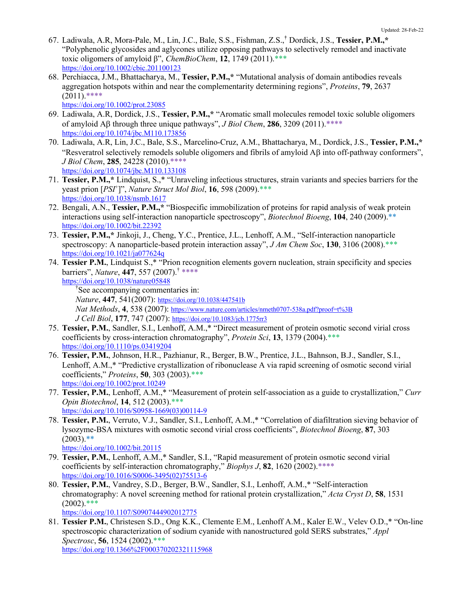- 67. Ladiwala, A.R, Mora-Pale, M., Lin, J.C., Bale, S.S., Fishman, Z.S.,**†** Dordick, J.S., **Tessier, P.M.,\*** "Polyphenolic glycosides and aglycones utilize opposing pathways to selectively remodel and inactivate toxic oligomers of amyloid β", *ChemBioChem*, **12**, 1749 (2011).\*\*\* https://doi.org/10.1002/cbic.201100123
- 68. Perchiacca, J.M., Bhattacharya, M., **Tessier, P.M.,\*** "Mutational analysis of domain antibodies reveals aggregation hotspots within and near the complementarity determining regions", *Proteins*, **79**, 2637  $(2011)$ \*\*\*\*

https://doi.org/10.1002/prot.23085

- 69. Ladiwala, A.R, Dordick, J.S., **Tessier, P.M.,\*** "Aromatic small molecules remodel toxic soluble oligomers of amyloid Ab through three unique pathways", *J Biol Chem*, **286**, 3209 (2011).\*\*\*\* https://doi.org/10.1074/jbc.M110.173856
- 70. Ladiwala, A.R, Lin, J.C., Bale, S.S., Marcelino-Cruz, A.M., Bhattacharya, M., Dordick, J.S., **Tessier, P.M.,\*** "Resveratrol selectively remodels soluble oligomers and fibrils of amyloid  $\overrightarrow{AB}$  into off-pathway conformers", *J Biol Chem*, **285**, 24228 (2010).\*\*\*\* https://doi.org/10.1074/jbc.M110.133108
- 71. **Tessier, P.M.,\*** Lindquist, S.,\* "Unraveling infectious structures, strain variants and species barriers for the yeast prion [*PSI*<sup>+</sup> ]", *Nature Struct Mol Biol*, **16**, 598 (2009).\*\*\* https://doi.org/10.1038/nsmb.1617
- 72. Bengali, A.N., **Tessier, P.M.,\*** "Biospecific immobilization of proteins for rapid analysis of weak protein interactions using self-interaction nanoparticle spectroscopy", *Biotechnol Bioeng*, **104**, 240 (2009).\*\* https://doi.org/10.1002/bit.22392
- 73. **Tessier, P.M.,\*** Jinkoji, J., Cheng, Y.C., Prentice, J.L., Lenhoff, A.M., "Self-interaction nanoparticle spectroscopy: A nanoparticle-based protein interaction assay", *J Am Chem Soc*, **130**, 3106 (2008).\*\*\* https://doi.org/10.1021/ja077624q
- 74. **Tessier P.M.**, Lindquist S.,\* "Prion recognition elements govern nucleation, strain specificity and species barriers", *Nature*, **447**, 557 (2007).† \*\*\*\* https://doi.org/10.1038/nature05848

† See accompanying commentaries in: *Nature*, **447**, 541(2007): https://doi.org/10.1038/447541b *Nat Methods*, **4**, 538 (2007): https://www.nature.com/articles/nmeth0707-538a.pdf?proof=t%3B *J Cell Biol*, **177**, 747 (2007): https://doi.org/10.1083/jcb.1775rr3

- 75. **Tessier, P.M.**, Sandler, S.I., Lenhoff, A.M.,\* "Direct measurement of protein osmotic second virial cross coefficients by cross-interaction chromatography", *Protein Sci*, **13**, 1379 (2004).\*\*\* https://doi.org/10.1110/ps.03419204
- 76. **Tessier, P.M.**, Johnson, H.R., Pazhianur, R., Berger, B.W., Prentice, J.L., Bahnson, B.J., Sandler, S.I., Lenhoff, A.M.,\* "Predictive crystallization of ribonuclease A via rapid screening of osmotic second virial coefficients," *Proteins*, **50**, 303 (2003).\*\*\* https://doi.org/10.1002/prot.10249
- 77. **Tessier, P.M.**, Lenhoff, A.M.,\* "Measurement of protein self-association as a guide to crystallization," *Curr Opin Biotechnol*, **14**, 512 (2003).\*\*\* https://doi.org/10.1016/S0958-1669(03)00114-9
- 78. **Tessier, P.M.**, Verruto, V.J., Sandler, S.I., Lenhoff, A.M.,\* "Correlation of diafiltration sieving behavior of lysozyme-BSA mixtures with osmotic second virial cross coefficients", *Biotechnol Bioeng*, **87**, 303  $(2003)$ <sup>\*\*</sup>

https://doi.org/10.1002/bit.20115

- 79. **Tessier, P.M.**, Lenhoff, A.M.,\* Sandler, S.I., "Rapid measurement of protein osmotic second virial coefficients by self-interaction chromatography," *Biophys J*, **82**, 1620 (2002).\*\*\*\* https://doi.org/10.1016/S0006-3495(02)75513-6
- 80. **Tessier, P.M.**, Vandrey, S.D., Berger, B.W., Sandler, S.I., Lenhoff, A.M.,\* "Self-interaction chromatography: A novel screening method for rational protein crystallization," *Acta Cryst D*, **58**, 1531  $(2002)$ .\*\*\*

https://doi.org/10.1107/S0907444902012775

81. **Tessier P.M.**, Christesen S.D., Ong K.K., Clemente E.M., Lenhoff A.M., Kaler E.W., Velev O.D.,\* "On-line spectroscopic characterization of sodium cyanide with nanostructured gold SERS substrates," *Appl Spectrosc*, **56**, 1524 (2002).\*\*\* https://doi.org/10.1366%2F000370202321115968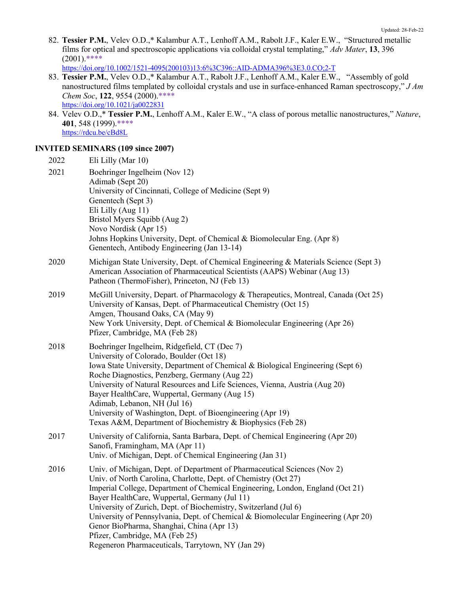82. **Tessier P.M.**, Velev O.D.,\* Kalambur A.T., Lenhoff A.M., Rabolt J.F., Kaler E.W., "Structured metallic films for optical and spectroscopic applications via colloidal crystal templating," *Adv Mater*, **13**, 396  $(2001)$ .\*\*\*\*

https://doi.org/10.1002/1521-4095(200103)13:6%3C396::AID-ADMA396%3E3.0.CO;2-T

- 83. **Tessier P.M.**, Velev O.D.,\* Kalambur A.T., Rabolt J.F., Lenhoff A.M., Kaler E.W., "Assembly of gold nanostructured films templated by colloidal crystals and use in surface-enhanced Raman spectroscopy," *J Am Chem Soc*, **122**, 9554 (2000).\*\*\*\* https://doi.org/10.1021/ja0022831
- 84. Velev O.D.,\* **Tessier P.M.**, Lenhoff A.M., Kaler E.W., "A class of porous metallic nanostructures," *Nature*, **401**, 548 (1999).\*\*\*\* https://rdcu.be/cBd8L

## **INVITED SEMINARS (109 since 2007)**

| 2022 | Eli Lilly (Mar 10)                                                                                                                                                                                                                                                                                                                                                                                                                                                                                                                                                           |
|------|------------------------------------------------------------------------------------------------------------------------------------------------------------------------------------------------------------------------------------------------------------------------------------------------------------------------------------------------------------------------------------------------------------------------------------------------------------------------------------------------------------------------------------------------------------------------------|
| 2021 | Boehringer Ingelheim (Nov 12)<br>Adimab (Sept 20)<br>University of Cincinnati, College of Medicine (Sept 9)<br>Genentech (Sept 3)<br>Eli Lilly (Aug 11)<br>Bristol Myers Squibb (Aug 2)<br>Novo Nordisk (Apr 15)<br>Johns Hopkins University, Dept. of Chemical & Biomolecular Eng. (Apr 8)<br>Genentech, Antibody Engineering (Jan 13-14)                                                                                                                                                                                                                                   |
| 2020 | Michigan State University, Dept. of Chemical Engineering & Materials Science (Sept 3)<br>American Association of Pharmaceutical Scientists (AAPS) Webinar (Aug 13)<br>Patheon (ThermoFisher), Princeton, NJ (Feb 13)                                                                                                                                                                                                                                                                                                                                                         |
| 2019 | McGill University, Depart. of Pharmacology & Therapeutics, Montreal, Canada (Oct 25)<br>University of Kansas, Dept. of Pharmaceutical Chemistry (Oct 15)<br>Amgen, Thousand Oaks, CA (May 9)<br>New York University, Dept. of Chemical & Biomolecular Engineering (Apr 26)<br>Pfizer, Cambridge, MA (Feb 28)                                                                                                                                                                                                                                                                 |
| 2018 | Boehringer Ingelheim, Ridgefield, CT (Dec 7)<br>University of Colorado, Boulder (Oct 18)<br>Iowa State University, Department of Chemical & Biological Engineering (Sept 6)<br>Roche Diagnostics, Penzberg, Germany (Aug 22)<br>University of Natural Resources and Life Sciences, Vienna, Austria (Aug 20)<br>Bayer HealthCare, Wuppertal, Germany (Aug 15)<br>Adimab, Lebanon, NH (Jul 16)<br>University of Washington, Dept. of Bioengineering (Apr 19)<br>Texas A&M, Department of Biochemistry & Biophysics (Feb 28)                                                    |
| 2017 | University of California, Santa Barbara, Dept. of Chemical Engineering (Apr 20)<br>Sanofi, Framingham, MA (Apr 11)<br>Univ. of Michigan, Dept. of Chemical Engineering (Jan 31)                                                                                                                                                                                                                                                                                                                                                                                              |
| 2016 | Univ. of Michigan, Dept. of Department of Pharmaceutical Sciences (Nov 2)<br>Univ. of North Carolina, Charlotte, Dept. of Chemistry (Oct 27)<br>Imperial College, Department of Chemical Engineering, London, England (Oct 21)<br>Bayer HealthCare, Wuppertal, Germany (Jul 11)<br>University of Zurich, Dept. of Biochemistry, Switzerland (Jul 6)<br>University of Pennsylvania, Dept. of Chemical & Biomolecular Engineering (Apr 20)<br>Genor BioPharma, Shanghai, China (Apr 13)<br>Pfizer, Cambridge, MA (Feb 25)<br>Regeneron Pharmaceuticals, Tarrytown, NY (Jan 29) |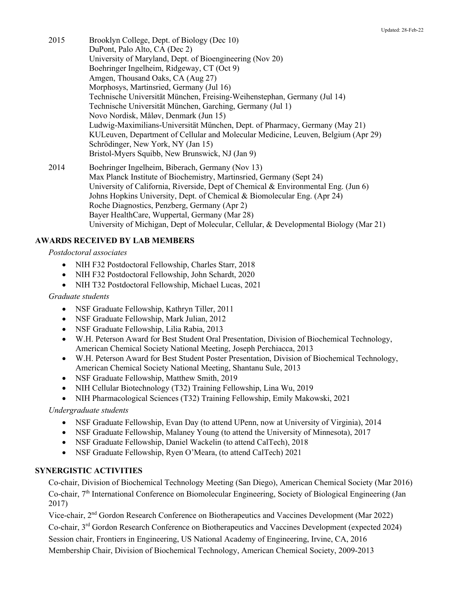- 2015 Brooklyn College, Dept. of Biology (Dec 10) DuPont, Palo Alto, CA (Dec 2) University of Maryland, Dept. of Bioengineering (Nov 20) Boehringer Ingelheim, Ridgeway, CT (Oct 9) Amgen, Thousand Oaks, CA (Aug 27) Morphosys, Martinsried, Germany (Jul 16) Technische Universität München, Freising-Weihenstephan, Germany (Jul 14) Technische Universität München, Garching, Germany (Jul 1) Novo Nordisk, Måløv, Denmark (Jun 15) Ludwig-Maximilians-Universität München, Dept. of Pharmacy, Germany (May 21) KULeuven, Department of Cellular and Molecular Medicine, Leuven, Belgium (Apr 29) Schrödinger, New York, NY (Jan 15) Bristol-Myers Squibb, New Brunswick, NJ (Jan 9)
- 2014 Boehringer Ingelheim, Biberach, Germany (Nov 13) Max Planck Institute of Biochemistry, Martinsried, Germany (Sept 24) University of California, Riverside, Dept of Chemical & Environmental Eng. (Jun 6) Johns Hopkins University, Dept. of Chemical & Biomolecular Eng. (Apr 24) Roche Diagnostics, Penzberg, Germany (Apr 2) Bayer HealthCare, Wuppertal, Germany (Mar 28) University of Michigan, Dept of Molecular, Cellular, & Developmental Biology (Mar 21)

# **AWARDS RECEIVED BY LAB MEMBERS**

#### *Postdoctoral associates*

- NIH F32 Postdoctoral Fellowship, Charles Starr, 2018
- NIH F32 Postdoctoral Fellowship, John Schardt, 2020
- NIH T32 Postdoctoral Fellowship, Michael Lucas, 2021

#### *Graduate students*

- NSF Graduate Fellowship, Kathryn Tiller, 2011
- NSF Graduate Fellowship, Mark Julian, 2012
- NSF Graduate Fellowship, Lilia Rabia, 2013
- W.H. Peterson Award for Best Student Oral Presentation, Division of Biochemical Technology, American Chemical Society National Meeting, Joseph Perchiacca, 2013
- W.H. Peterson Award for Best Student Poster Presentation, Division of Biochemical Technology, American Chemical Society National Meeting, Shantanu Sule, 2013
- NSF Graduate Fellowship, Matthew Smith, 2019
- NIH Cellular Biotechnology (T32) Training Fellowship, Lina Wu, 2019
- NIH Pharmacological Sciences (T32) Training Fellowship, Emily Makowski, 2021

## *Undergraduate students*

- NSF Graduate Fellowship, Evan Day (to attend UPenn, now at University of Virginia), 2014
- NSF Graduate Fellowship, Malaney Young (to attend the University of Minnesota), 2017
- NSF Graduate Fellowship, Daniel Wackelin (to attend CalTech), 2018
- NSF Graduate Fellowship, Ryen O'Meara, (to attend CalTech) 2021

## **SYNERGISTIC ACTIVITIES**

Co-chair, Division of Biochemical Technology Meeting (San Diego), American Chemical Society (Mar 2016) Co-chair, 7<sup>th</sup> International Conference on Biomolecular Engineering, Society of Biological Engineering (Jan 2017)

Vice-chair, 2nd Gordon Research Conference on Biotherapeutics and Vaccines Development (Mar 2022) Co-chair, 3rd Gordon Research Conference on Biotherapeutics and Vaccines Development (expected 2024) Session chair, Frontiers in Engineering, US National Academy of Engineering, Irvine, CA, 2016 Membership Chair, Division of Biochemical Technology, American Chemical Society, 2009-2013